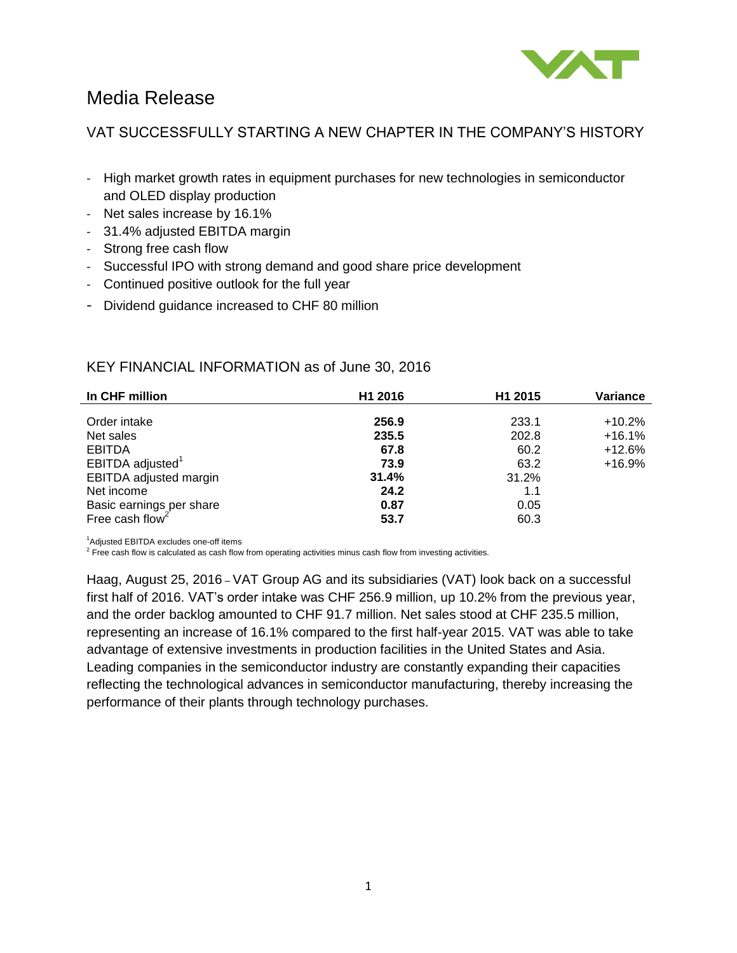

# Media Release

# VAT SUCCESSFULLY STARTING A NEW CHAPTER IN THE COMPANY'S HISTORY

- High market growth rates in equipment purchases for new technologies in semiconductor and OLED display production
- Net sales increase by 16.1%
- 31.4% adjusted EBITDA margin
- Strong free cash flow
- Successful IPO with strong demand and good share price development
- Continued positive outlook for the full year
- Dividend guidance increased to CHF 80 million

# KEY FINANCIAL INFORMATION as of June 30, 2016

| In CHF million                                          | H1 2016 | H1 2015 | Variance |
|---------------------------------------------------------|---------|---------|----------|
| Order intake                                            | 256.9   | 233.1   | $+10.2%$ |
| Net sales                                               | 235.5   | 202.8   | $+16.1%$ |
| <b>EBITDA</b>                                           | 67.8    | 60.2    | $+12.6%$ |
| EBITDA adjusted <sup>1</sup>                            | 73.9    | 63.2    | $+16.9%$ |
| EBITDA adjusted margin                                  | 31.4%   | 31.2%   |          |
| Net income                                              | 24.2    | 1.1     |          |
| Basic earnings per share<br>Free cash flow <sup>2</sup> | 0.87    | 0.05    |          |
|                                                         | 53.7    | 60.3    |          |

<sup>1</sup>Adjusted EBITDA excludes one-off items<br><sup>2</sup> Free cash flow is calculated as cash flow from operating activities minus cash flow from investing activities.

Haag, August 25, 2016 – VAT Group AG and its subsidiaries (VAT) look back on a successful first half of 2016. VAT's order intake was CHF 256.9 million, up 10.2% from the previous year, and the order backlog amounted to CHF 91.7 million. Net sales stood at CHF 235.5 million, representing an increase of 16.1% compared to the first half-year 2015. VAT was able to take advantage of extensive investments in production facilities in the United States and Asia. Leading companies in the semiconductor industry are constantly expanding their capacities reflecting the technological advances in semiconductor manufacturing, thereby increasing the performance of their plants through technology purchases.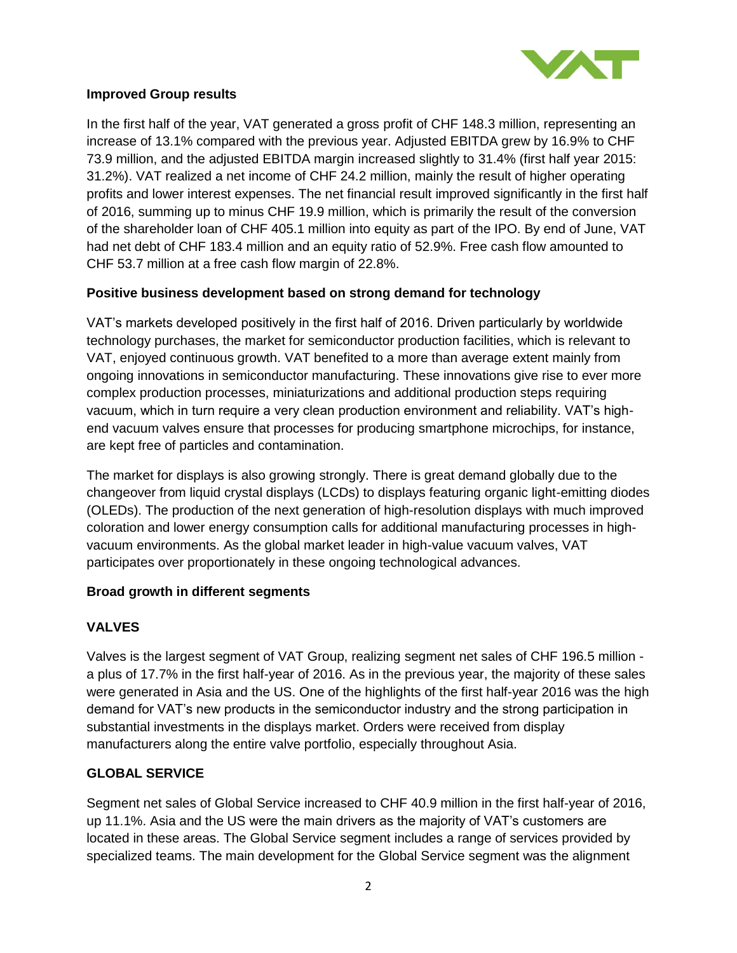

## **Improved Group results**

In the first half of the year, VAT generated a gross profit of CHF 148.3 million, representing an increase of 13.1% compared with the previous year. Adjusted EBITDA grew by 16.9% to CHF 73.9 million, and the adjusted EBITDA margin increased slightly to 31.4% (first half year 2015: 31.2%). VAT realized a net income of CHF 24.2 million, mainly the result of higher operating profits and lower interest expenses. The net financial result improved significantly in the first half of 2016, summing up to minus CHF 19.9 million, which is primarily the result of the conversion of the shareholder loan of CHF 405.1 million into equity as part of the IPO. By end of June, VAT had net debt of CHF 183.4 million and an equity ratio of 52.9%. Free cash flow amounted to CHF 53.7 million at a free cash flow margin of 22.8%.

# **Positive business development based on strong demand for technology**

VAT's markets developed positively in the first half of 2016. Driven particularly by worldwide technology purchases, the market for semiconductor production facilities, which is relevant to VAT, enjoyed continuous growth. VAT benefited to a more than average extent mainly from ongoing innovations in semiconductor manufacturing. These innovations give rise to ever more complex production processes, miniaturizations and additional production steps requiring vacuum, which in turn require a very clean production environment and reliability. VAT's highend vacuum valves ensure that processes for producing smartphone microchips, for instance, are kept free of particles and contamination.

The market for displays is also growing strongly. There is great demand globally due to the changeover from liquid crystal displays (LCDs) to displays featuring organic light-emitting diodes (OLEDs). The production of the next generation of high-resolution displays with much improved coloration and lower energy consumption calls for additional manufacturing processes in highvacuum environments. As the global market leader in high-value vacuum valves, VAT participates over proportionately in these ongoing technological advances.

### **Broad growth in different segments**

# **VALVES**

Valves is the largest segment of VAT Group, realizing segment net sales of CHF 196.5 million a plus of 17.7% in the first half-year of 2016. As in the previous year, the majority of these sales were generated in Asia and the US. One of the highlights of the first half-year 2016 was the high demand for VAT's new products in the semiconductor industry and the strong participation in substantial investments in the displays market. Orders were received from display manufacturers along the entire valve portfolio, especially throughout Asia.

# **GLOBAL SERVICE**

Segment net sales of Global Service increased to CHF 40.9 million in the first half-year of 2016, up 11.1%. Asia and the US were the main drivers as the majority of VAT's customers are located in these areas. The Global Service segment includes a range of services provided by specialized teams. The main development for the Global Service segment was the alignment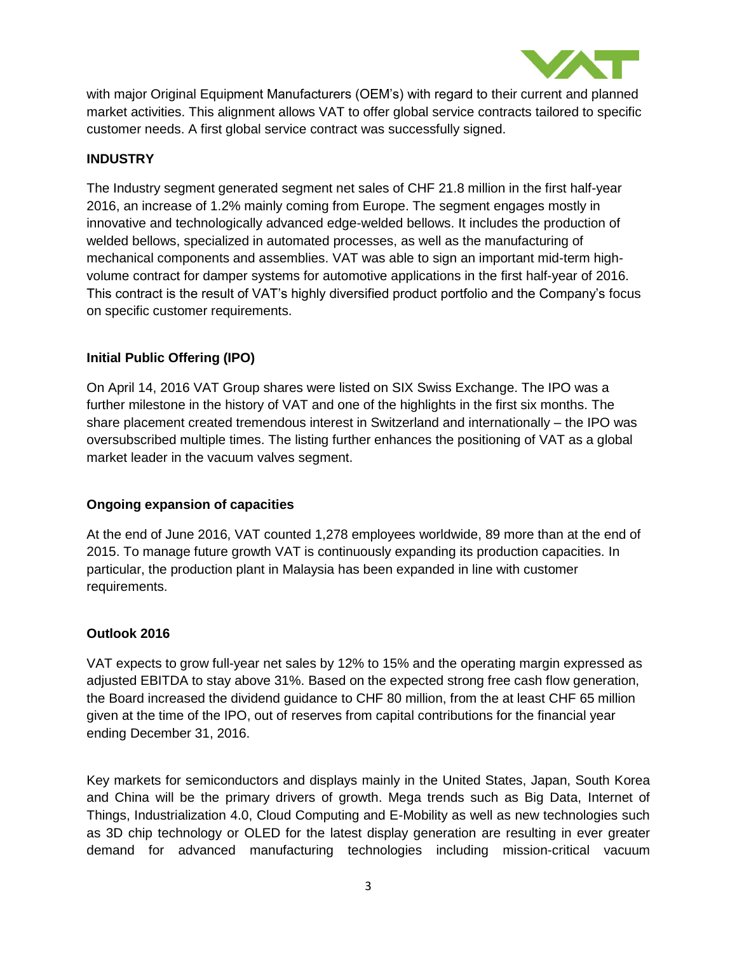

with major Original Equipment Manufacturers (OEM's) with regard to their current and planned market activities. This alignment allows VAT to offer global service contracts tailored to specific customer needs. A first global service contract was successfully signed.

## **INDUSTRY**

The Industry segment generated segment net sales of CHF 21.8 million in the first half-year 2016, an increase of 1.2% mainly coming from Europe. The segment engages mostly in innovative and technologically advanced edge-welded bellows. It includes the production of welded bellows, specialized in automated processes, as well as the manufacturing of mechanical components and assemblies. VAT was able to sign an important mid-term highvolume contract for damper systems for automotive applications in the first half-year of 2016. This contract is the result of VAT's highly diversified product portfolio and the Company's focus on specific customer requirements.

## **Initial Public Offering (IPO)**

On April 14, 2016 VAT Group shares were listed on SIX Swiss Exchange. The IPO was a further milestone in the history of VAT and one of the highlights in the first six months. The share placement created tremendous interest in Switzerland and internationally – the IPO was oversubscribed multiple times. The listing further enhances the positioning of VAT as a global market leader in the vacuum valves segment.

### **Ongoing expansion of capacities**

At the end of June 2016, VAT counted 1,278 employees worldwide, 89 more than at the end of 2015. To manage future growth VAT is continuously expanding its production capacities. In particular, the production plant in Malaysia has been expanded in line with customer requirements.

### **Outlook 2016**

VAT expects to grow full-year net sales by 12% to 15% and the operating margin expressed as adjusted EBITDA to stay above 31%. Based on the expected strong free cash flow generation, the Board increased the dividend guidance to CHF 80 million, from the at least CHF 65 million given at the time of the IPO, out of reserves from capital contributions for the financial year ending December 31, 2016.

Key markets for semiconductors and displays mainly in the United States, Japan, South Korea and China will be the primary drivers of growth. Mega trends such as Big Data, Internet of Things, Industrialization 4.0, Cloud Computing and E-Mobility as well as new technologies such as 3D chip technology or OLED for the latest display generation are resulting in ever greater demand for advanced manufacturing technologies including mission-critical vacuum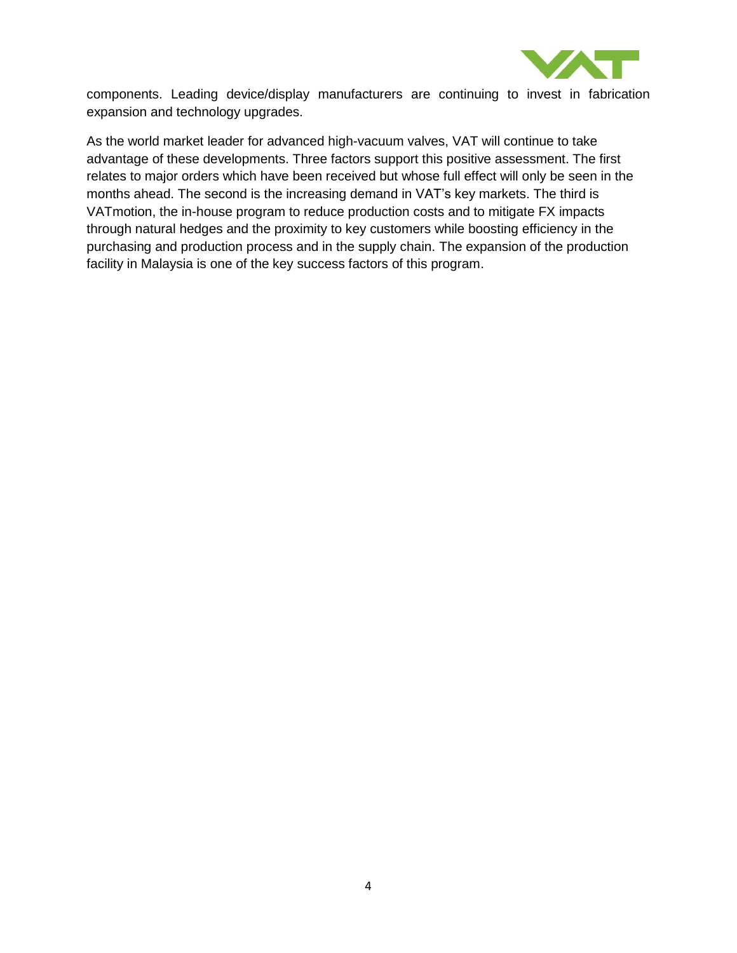

components. Leading device/display manufacturers are continuing to invest in fabrication expansion and technology upgrades.

As the world market leader for advanced high-vacuum valves, VAT will continue to take advantage of these developments. Three factors support this positive assessment. The first relates to major orders which have been received but whose full effect will only be seen in the months ahead. The second is the increasing demand in VAT's key markets. The third is VATmotion, the in-house program to reduce production costs and to mitigate FX impacts through natural hedges and the proximity to key customers while boosting efficiency in the purchasing and production process and in the supply chain. The expansion of the production facility in Malaysia is one of the key success factors of this program.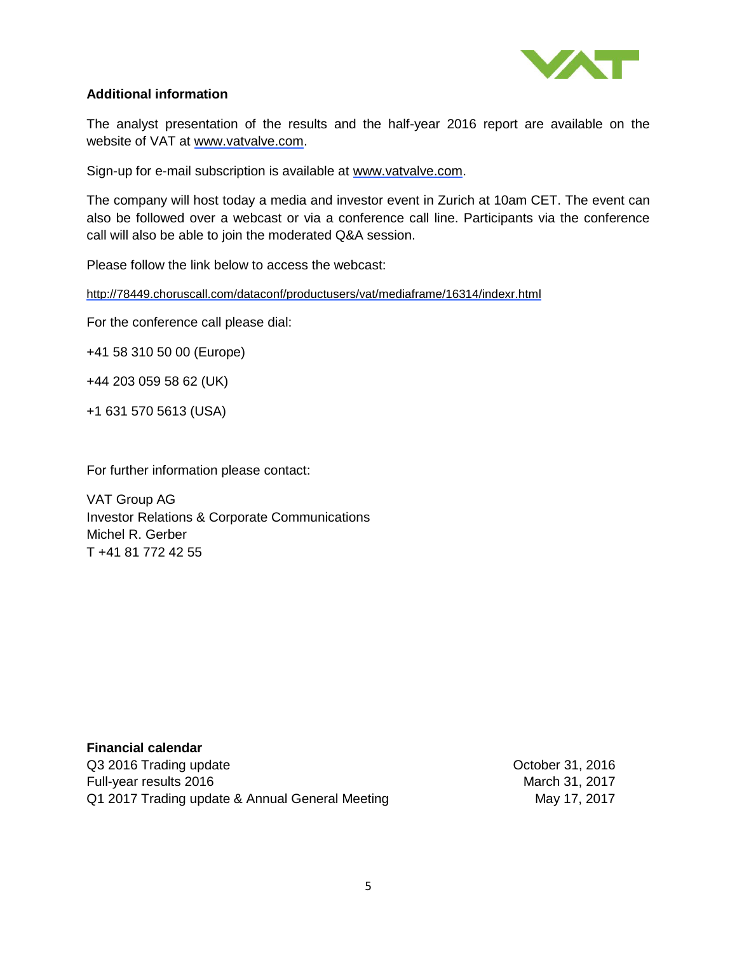

### **Additional information**

The analyst presentation of the results and the half-year 2016 report are available on the website of VAT at [www.vatvalve.com.](http://www.vatvalve.com/)

Sign-up for e-mail subscription is available at [www.vatvalve.com.](http://www.vatvalve.com/)

The company will host today a media and investor event in Zurich at 10am CET. The event can also be followed over a webcast or via a conference call line. Participants via the conference call will also be able to join the moderated Q&A session.

Please follow the link below to access the webcast:

<http://78449.choruscall.com/dataconf/productusers/vat/mediaframe/16314/indexr.html>

For the conference call please dial:

+41 58 310 50 00 (Europe)

+44 203 059 58 62 (UK)

+1 631 570 5613 (USA)

For further information please contact:

VAT Group AG Investor Relations & Corporate Communications Michel R. Gerber T +41 81 772 42 55

**Financial calendar** Q3 2016 Trading update **October 31, 2016** Full-year results 2016 March 31, 2017 Q1 2017 Trading update & Annual General Meeting May 17, 2017